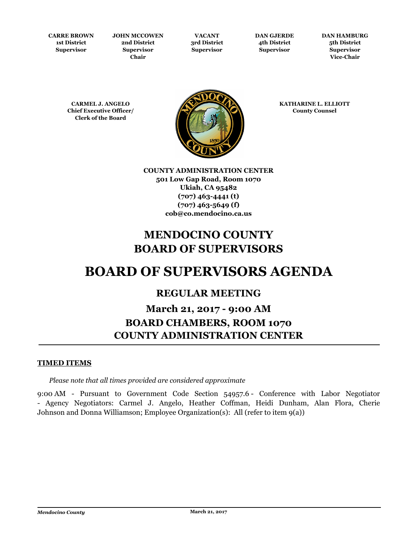**CARRE BROWN 1st District Supervisor**

**JOHN MCCOWEN 2nd District Supervisor Chair**

**VACANT 3rd District Supervisor**

**DAN GJERDE 4th District Supervisor**

**DAN HAMBURG 5th District Supervisor Vice-Chair**

**CARMEL J. ANGELO Chief Executive Officer/ Clerk of the Board**



**KATHARINE L. ELLIOTT County Counsel**

**COUNTY ADMINISTRATION CENTER 501 Low Gap Road, Room 1070 Ukiah, CA 95482 (707) 463-4441 (t) (707) 463-5649 (f) cob@co.mendocino.ca.us**

# **MENDOCINO COUNTY BOARD OF SUPERVISORS**

# **BOARD OF SUPERVISORS AGENDA**

# **REGULAR MEETING**

# **March 21, 2017 - 9:00 AM BOARD CHAMBERS, ROOM 1070 COUNTY ADMINISTRATION CENTER**

# **TIMED ITEMS**

*Please note that all times provided are considered approximate*

9:00 AM - Pursuant to Government Code Section 54957.6 - Conference with Labor Negotiator - Agency Negotiators: Carmel J. Angelo, Heather Coffman, Heidi Dunham, Alan Flora, Cherie Johnson and Donna Williamson; Employee Organization(s): All (refer to item 9(a))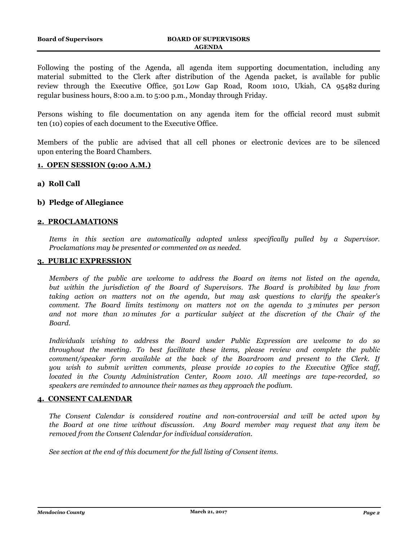Following the posting of the Agenda, all agenda item supporting documentation, including any material submitted to the Clerk after distribution of the Agenda packet, is available for public review through the Executive Office, 501 Low Gap Road, Room 1010, Ukiah, CA 95482 during regular business hours, 8:00 a.m. to 5:00 p.m., Monday through Friday.

Persons wishing to file documentation on any agenda item for the official record must submit ten (10) copies of each document to the Executive Office.

Members of the public are advised that all cell phones or electronic devices are to be silenced upon entering the Board Chambers.

# **1. OPEN SESSION (9:00 A.M.)**

#### **a) Roll Call**

# **b) Pledge of Allegiance**

# **2. PROCLAMATIONS**

*Items in this section are automatically adopted unless specifically pulled by a Supervisor. Proclamations may be presented or commented on as needed.*

# **3. PUBLIC EXPRESSION**

*Members of the public are welcome to address the Board on items not listed on the agenda, but within the jurisdiction of the Board of Supervisors. The Board is prohibited by law from taking action on matters not on the agenda, but may ask questions to clarify the speaker's comment. The Board limits testimony on matters not on the agenda to 3 minutes per person and not more than 10 minutes for a particular subject at the discretion of the Chair of the Board.*

*Individuals wishing to address the Board under Public Expression are welcome to do so throughout the meeting. To best facilitate these items, please review and complete the public comment/speaker form available at the back of the Boardroom and present to the Clerk. If you wish to submit written comments, please provide 10 copies to the Executive Office staff, located in the County Administration Center, Room 1010. All meetings are tape-recorded, so speakers are reminded to announce their names as they approach the podium.*

#### **4. CONSENT CALENDAR**

*The Consent Calendar is considered routine and non-controversial and will be acted upon by the Board at one time without discussion. Any Board member may request that any item be removed from the Consent Calendar for individual consideration.*

*See section at the end of this document for the full listing of Consent items.*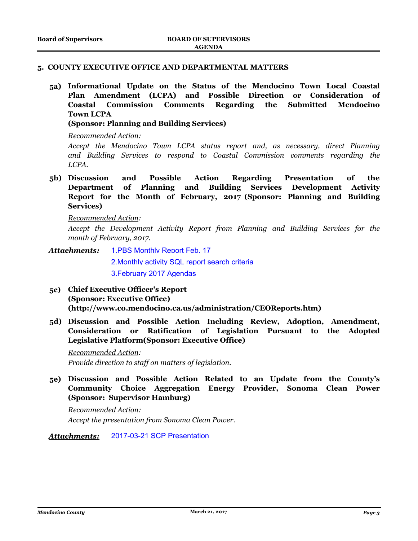#### **5. COUNTY EXECUTIVE OFFICE AND DEPARTMENTAL MATTERS**

**5a) Informational Update on the Status of the Mendocino Town Local Coastal Plan Amendment (LCPA) and Possible Direction or Consideration of Coastal Commission Comments Regarding the Submitted Mendocino Town LCPA** 

**(Sponsor: Planning and Building Services)**

# *Recommended Action:*

*Accept the Mendocino Town LCPA status report and, as necessary, direct Planning and Building Services to respond to Coastal Commission comments regarding the LCPA.*

**5b) Discussion and Possible Action Regarding Presentation of the Department of Planning and Building Services Development Activity Report for the Month of February, 2017 (Sponsor: Planning and Building Services)**

*Recommended Action:*

*Accept the Development Activity Report from Planning and Building Services for the month of February, 2017.*

[1.PBS Monthly Report Feb. 17](http://mendocino.legistar.com/gateway.aspx?M=F&ID=439d0627-cdb8-4c7e-862b-f43bfd1a4d61.rtf) *Attachments:*

[2.Monthly activity SQL report search criteria](http://mendocino.legistar.com/gateway.aspx?M=F&ID=c255d7de-12c6-461f-985d-54ba1e271051.docx)

[3.February 2017 Agendas](http://mendocino.legistar.com/gateway.aspx?M=F&ID=707097c1-b03b-47dd-b0be-2bfd5fc5d55a.pdf)

- **5c) Chief Executive Officer's Report (Sponsor: Executive Office) (http://www.co.mendocino.ca.us/administration/CEOReports.htm)**
- **5d) Discussion and Possible Action Including Review, Adoption, Amendment, Consideration or Ratification of Legislation Pursuant to the Adopted Legislative Platform(Sponsor: Executive Office)**

*Recommended Action: Provide direction to staff on matters of legislation.*

**5e) Discussion and Possible Action Related to an Update from the County's Community Choice Aggregation Energy Provider, Sonoma Clean Power (Sponsor: Supervisor Hamburg)**

*Recommended Action: Accept the presentation from Sonoma Clean Power.*

*Attachments:* [2017-03-21 SCP Presentation](http://mendocino.legistar.com/gateway.aspx?M=F&ID=15d2597e-d972-4474-a532-07fc6b15c52d.pptx)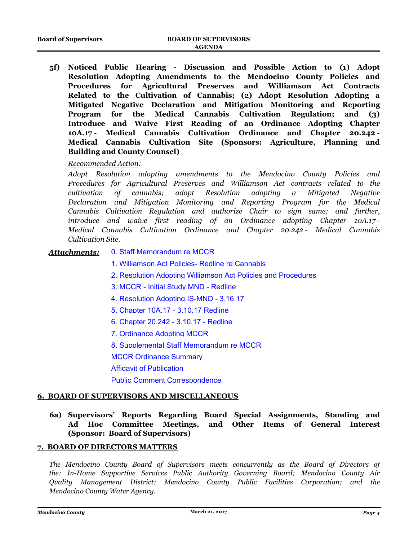**5f) Noticed Public Hearing - Discussion and Possible Action to (1) Adopt Resolution Adopting Amendments to the Mendocino County Policies and Procedures for Agricultural Preserves and Williamson Act Contracts Related to the Cultivation of Cannabis; (2) Adopt Resolution Adopting a Mitigated Negative Declaration and Mitigation Monitoring and Reporting Program for the Medical Cannabis Cultivation Regulation; and (3) Introduce and Waive First Reading of an Ordinance Adopting Chapter 10A.17 - Medical Cannabis Cultivation Ordinance and Chapter 20.242 - Medical Cannabis Cultivation Site (Sponsors: Agriculture, Planning and Building and County Counsel)**

# *Recommended Action:*

*Adopt Resolution adopting amendments to the Mendocino County Policies and Procedures for Agricultural Preserves and Williamson Act contracts related to the cultivation of cannabis; adopt Resolution adopting a Mitigated Negative Declaration and Mitigation Monitoring and Reporting Program for the Medical Cannabis Cultivation Regulation and authorize Chair to sign same; and further, introduce and waive first reading of an Ordinance adopting Chapter 10A.17 - Medical Cannabis Cultivation Ordinance and Chapter 20.242 - Medical Cannabis Cultivation Site.*

#### [0. Staff Memorandum re MCCR](http://mendocino.legistar.com/gateway.aspx?M=F&ID=d9f51beb-f0e0-494a-96f7-d7708146efb7.doc) *Attachments:*

- [1. Williamson Act Policies- Redline re Cannabis](http://mendocino.legistar.com/gateway.aspx?M=F&ID=dd9ce493-bed0-4a6d-866f-89187e3b11ef.pdf)
- [2. Resolution Adopting Williamson Act Policies and Procedures](http://mendocino.legistar.com/gateway.aspx?M=F&ID=13d04687-9b71-464d-9eb2-d80cd500a932.pdf)
- [3. MCCR Initial Study MND Redline](http://mendocino.legistar.com/gateway.aspx?M=F&ID=a65e620b-00d6-4c96-87d9-73fe48c6846a.pdf)
- [4. Resolution Adopting IS-MND 3.16.17](http://mendocino.legistar.com/gateway.aspx?M=F&ID=b67b3e69-2d05-4288-bd11-0be01adbf52e.pdf)
- [5. Chapter 10A.17 3.10.17 Redline](http://mendocino.legistar.com/gateway.aspx?M=F&ID=c5c35848-d667-4803-b515-8876e9b8dfc1.pdf)
- [6. Chapter 20.242 3.10.17 Redline](http://mendocino.legistar.com/gateway.aspx?M=F&ID=5e185d60-099b-478e-a56c-4c2803498b37.pdf)
- [7. Ordinance Adopting MCCR](http://mendocino.legistar.com/gateway.aspx?M=F&ID=ded6a1cd-3e6a-4842-b9b0-7de59675d77f.pdf)
- [8. Supplemental Staff Memorandum re MCCR](http://mendocino.legistar.com/gateway.aspx?M=F&ID=04dceaef-35cc-4a8a-a31b-4d7a80e5f1f2.pdf)
- [MCCR Ordinance Summary](http://mendocino.legistar.com/gateway.aspx?M=F&ID=f456cb98-013b-43ff-b1dd-eca0e75e0b34.docx)
- [Affidavit of Publication](http://mendocino.legistar.com/gateway.aspx?M=F&ID=c7042584-1d6f-4309-91a4-4e20840dd6a5.pdf)

[Public Comment Correspondence](http://mendocino.legistar.com/gateway.aspx?M=F&ID=f628978d-5eec-4b97-bef4-bda196d4ee58.pdf)

# **6. BOARD OF SUPERVISORS AND MISCELLANEOUS**

**6a) Supervisors' Reports Regarding Board Special Assignments, Standing and Ad Hoc Committee Meetings, and Other Items of General Interest (Sponsor: Board of Supervisors)**

# **7. BOARD OF DIRECTORS MATTERS**

*The Mendocino County Board of Supervisors meets concurrently as the Board of Directors of the: In-Home Supportive Services Public Authority Governing Board; Mendocino County Air Quality Management District; Mendocino County Public Facilities Corporation; and the Mendocino County Water Agency.*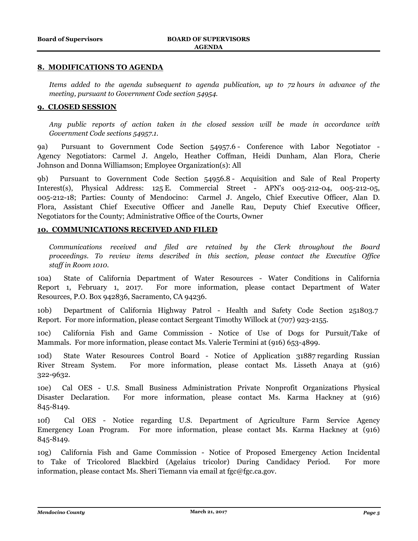# **8. MODIFICATIONS TO AGENDA**

*Items added to the agenda subsequent to agenda publication, up to 72 hours in advance of the meeting, pursuant to Government Code section 54954.*

# **9. CLOSED SESSION**

*Any public reports of action taken in the closed session will be made in accordance with Government Code sections 54957.1.*

9a) Pursuant to Government Code Section 54957.6 - Conference with Labor Negotiator - Agency Negotiators: Carmel J. Angelo, Heather Coffman, Heidi Dunham, Alan Flora, Cherie Johnson and Donna Williamson; Employee Organization(s): All

9b) Pursuant to Government Code Section 54956.8 - Acquisition and Sale of Real Property Interest(s), Physical Address: 125 E. Commercial Street - APN's 005-212-04, 005-212-05, 005-212-18; Parties: County of Mendocino: Carmel J. Angelo, Chief Executive Officer, Alan D. Flora, Assistant Chief Executive Officer and Janelle Rau, Deputy Chief Executive Officer, Negotiators for the County; Administrative Office of the Courts, Owner

# **10. COMMUNICATIONS RECEIVED AND FILED**

*Communications received and filed are retained by the Clerk throughout the Board proceedings. To review items described in this section, please contact the Executive Office staff in Room 1010.*

10a) State of California Department of Water Resources - Water Conditions in California Report 1, February 1, 2017. For more information, please contact Department of Water Resources, P.O. Box 942836, Sacramento, CA 94236.

10b) Department of California Highway Patrol - Health and Safety Code Section 251803.7 Report. For more information, please contact Sergeant Timothy Willock at (707) 923-2155.

10c) California Fish and Game Commission - Notice of Use of Dogs for Pursuit/Take of Mammals. For more information, please contact Ms. Valerie Termini at (916) 653-4899.

10d) State Water Resources Control Board - Notice of Application 31887 regarding Russian River Stream System. For more information, please contact Ms. Lisseth Anaya at (916) 322-9632.

10e) Cal OES - U.S. Small Business Administration Private Nonprofit Organizations Physical Disaster Declaration. For more information, please contact Ms. Karma Hackney at (916) 845-8149.

10f) Cal OES - Notice regarding U.S. Department of Agriculture Farm Service Agency Emergency Loan Program. For more information, please contact Ms. Karma Hackney at (916) 845-8149.

10g) California Fish and Game Commission - Notice of Proposed Emergency Action Incidental to Take of Tricolored Blackbird (Agelaius tricolor) During Candidacy Period. For more information, please contact Ms. Sheri Tiemann via email at fgc@fgc.ca.gov.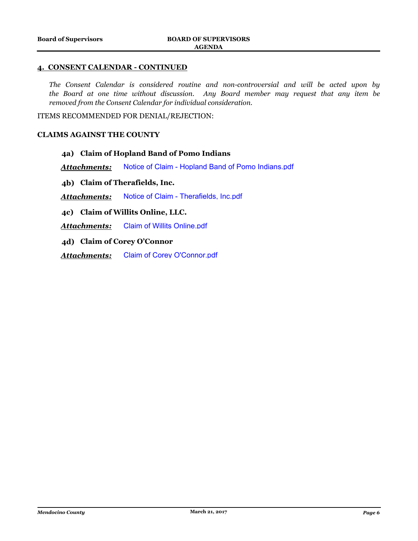# **4. CONSENT CALENDAR - CONTINUED**

*The Consent Calendar is considered routine and non-controversial and will be acted upon by the Board at one time without discussion. Any Board member may request that any item be removed from the Consent Calendar for individual consideration.*

ITEMS RECOMMENDED FOR DENIAL/REJECTION:

#### **CLAIMS AGAINST THE COUNTY**

# **4a) Claim of Hopland Band of Pomo Indians**

*Attachments:* [Notice of Claim - Hopland Band of Pomo Indians.pdf](http://mendocino.legistar.com/gateway.aspx?M=F&ID=32a62acb-dafd-4671-b961-a4eae24eaf99.pdf)

**4b) Claim of Therafields, Inc.**

*Attachments:* [Notice of Claim - Therafields, Inc.pdf](http://mendocino.legistar.com/gateway.aspx?M=F&ID=da7c3f1f-008c-4342-9cb8-8280cbd8a9af.pdf)

# **4c) Claim of Willits Online, LLC.**

*Attachments:* [Claim of Willits Online.pdf](http://mendocino.legistar.com/gateway.aspx?M=F&ID=037a92a2-d8f2-4e19-945e-3906f606b6ec.pdf)

**4d) Claim of Corey O'Connor**

*Attachments:* [Claim of Corey O'Connor.pdf](http://mendocino.legistar.com/gateway.aspx?M=F&ID=4db97c6d-ea22-4321-a719-5c6642208ee1.pdf)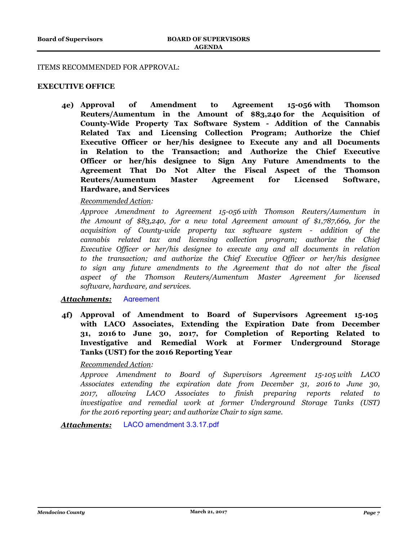#### ITEMS RECOMMENDED FOR APPROVAL:

# **EXECUTIVE OFFICE**

**4e) Approval of Amendment to Agreement 15-056 with Thomson Reuters/Aumentum in the Amount of \$83,240 for the Acquisition of County-Wide Property Tax Software System - Addition of the Cannabis Related Tax and Licensing Collection Program; Authorize the Chief Executive Officer or her/his designee to Execute any and all Documents in Relation to the Transaction; and Authorize the Chief Executive Officer or her/his designee to Sign Any Future Amendments to the Agreement That Do Not Alter the Fiscal Aspect of the Thomson Reuters/Aumentum Master Agreement for Licensed Software, Hardware, and Services**

# *Recommended Action:*

*Approve Amendment to Agreement 15-056 with Thomson Reuters/Aumentum in the Amount of \$83,240, for a new total Agreement amount of \$1,787,669, for the acquisition of County-wide property tax software system - addition of the cannabis related tax and licensing collection program; authorize the Chief Executive Officer or her/his designee to execute any and all documents in relation to the transaction; and authorize the Chief Executive Officer or her/his designee to sign any future amendments to the Agreement that do not alter the fiscal aspect of the Thomson Reuters/Aumentum Master Agreement for licensed software, hardware, and services.*

#### *Attachments:* [Agreement](http://mendocino.legistar.com/gateway.aspx?M=F&ID=fc5ca2b1-c3fb-40e8-ad0e-4ed01269b62b.pdf)

**4f) Approval of Amendment to Board of Supervisors Agreement 15-105 with LACO Associates, Extending the Expiration Date from December 31, 2016 to June 30, 2017, for Completion of Reporting Related to Investigative and Remedial Work at Former Underground Storage Tanks (UST) for the 2016 Reporting Year**

# *Recommended Action:*

*Approve Amendment to Board of Supervisors Agreement 15-105 with LACO Associates extending the expiration date from December 31, 2016 to June 30, 2017, allowing LACO Associates to finish preparing reports related to investigative and remedial work at former Underground Storage Tanks (UST) for the 2016 reporting year; and authorize Chair to sign same.*

*Attachments:* [LACO amendment 3.3.17.pdf](http://mendocino.legistar.com/gateway.aspx?M=F&ID=85bdb90c-562c-44bf-8943-c4511d656468.pdf)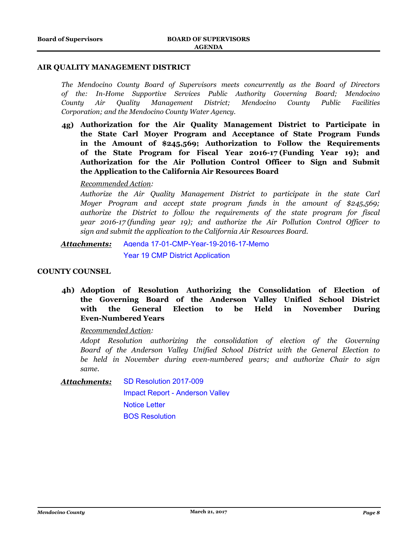#### **AIR QUALITY MANAGEMENT DISTRICT**

*The Mendocino County Board of Supervisors meets concurrently as the Board of Directors of the: In-Home Supportive Services Public Authority Governing Board; Mendocino County Air Quality Management District; Mendocino County Public Facilities Corporation; and the Mendocino County Water Agency.*

**4g) Authorization for the Air Quality Management District to Participate in the State Carl Moyer Program and Acceptance of State Program Funds in the Amount of \$245,569; Authorization to Follow the Requirements of the State Program for Fiscal Year 2016-17 (Funding Year 19); and Authorization for the Air Pollution Control Officer to Sign and Submit the Application to the California Air Resources Board**

# *Recommended Action:*

*Authorize the Air Quality Management District to participate in the state Carl Moyer Program and accept state program funds in the amount of \$245,569; authorize the District to follow the requirements of the state program for fiscal year 2016-17 (funding year 19); and authorize the Air Pollution Control Officer to sign and submit the application to the California Air Resources Board.*

[Agenda 17-01-CMP-Year-19-2016-17-Memo](http://mendocino.legistar.com/gateway.aspx?M=F&ID=6f855003-fbf4-4c5e-b23a-03bfa36419d7.docx) [Year 19 CMP District Application](http://mendocino.legistar.com/gateway.aspx?M=F&ID=bf643910-749e-4a9f-86a8-498dd4ae6936.doc) *Attachments:*

# **COUNTY COUNSEL**

**4h) Adoption of Resolution Authorizing the Consolidation of Election of the Governing Board of the Anderson Valley Unified School District with the General Election to be Held in November During Even-Numbered Years**

*Recommended Action:*

*Adopt Resolution authorizing the consolidation of election of the Governing Board of the Anderson Valley Unified School District with the General Election to be held in November during even-numbered years; and authorize Chair to sign same.*

[SD Resolution 2017-009](http://mendocino.legistar.com/gateway.aspx?M=F&ID=1df8f8e8-a567-4874-83b0-4a416d7142dd.pdf) [Impact Report - Anderson Valley](http://mendocino.legistar.com/gateway.aspx?M=F&ID=21c81b9e-9efc-4d4e-bd20-4fa052cededa.pdf) *Attachments:*

> [Notice Letter](http://mendocino.legistar.com/gateway.aspx?M=F&ID=6eacceeb-5e3b-4d48-aaa2-8a66f419a92e.pdf) [BOS Resolution](http://mendocino.legistar.com/gateway.aspx?M=F&ID=3d157486-68ed-4022-9167-f8ee789778f2.docx)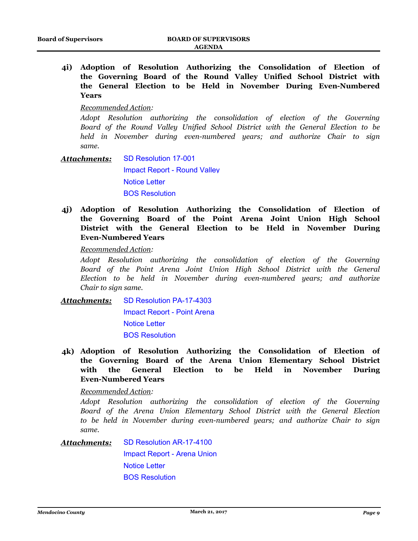**4i) Adoption of Resolution Authorizing the Consolidation of Election of the Governing Board of the Round Valley Unified School District with the General Election to be Held in November During Even-Numbered Years**

#### *Recommended Action:*

*Adopt Resolution authorizing the consolidation of election of the Governing Board of the Round Valley Unified School District with the General Election to be held in November during even-numbered years; and authorize Chair to sign same.*

- [SD Resolution 17-001](http://mendocino.legistar.com/gateway.aspx?M=F&ID=5c942dd0-2f0d-4687-8b6e-dcf85e0bef30.pdf) [Impact Report - Round Valley](http://mendocino.legistar.com/gateway.aspx?M=F&ID=97026256-ac9b-47f6-9d6d-23d1f9b6a75c.pdf) [Notice Letter](http://mendocino.legistar.com/gateway.aspx?M=F&ID=3f63363e-0475-4750-a895-5475c65907e4.pdf) [BOS Resolution](http://mendocino.legistar.com/gateway.aspx?M=F&ID=983d9e06-8182-40fa-95dc-2160a2a557cb.docx) *Attachments:*
- **4j) Adoption of Resolution Authorizing the Consolidation of Election of the Governing Board of the Point Arena Joint Union High School District with the General Election to be Held in November During Even-Numbered Years**

*Recommended Action:*

*Adopt Resolution authorizing the consolidation of election of the Governing Board of the Point Arena Joint Union High School District with the General Election to be held in November during even-numbered years; and authorize Chair to sign same.*

[SD Resolution PA-17-4303](http://mendocino.legistar.com/gateway.aspx?M=F&ID=e123a6b1-0c6d-4798-92e4-f6709ddbb4d9.pdf) [Impact Report - Point Arena](http://mendocino.legistar.com/gateway.aspx?M=F&ID=2641752f-eaa3-46cb-94af-d95ecb0c48d0.pdf) *Attachments:*

[Notice Letter](http://mendocino.legistar.com/gateway.aspx?M=F&ID=e535a10c-6b6c-4dae-b468-db4499d6d8da.pdf)

[BOS Resolution](http://mendocino.legistar.com/gateway.aspx?M=F&ID=595db731-897b-41a2-a061-cad3088b9285.docx)

**4k) Adoption of Resolution Authorizing the Consolidation of Election of the Governing Board of the Arena Union Elementary School District with the General Election to be Held in November During Even-Numbered Years**

*Recommended Action:*

*Adopt Resolution authorizing the consolidation of election of the Governing Board of the Arena Union Elementary School District with the General Election to be held in November during even-numbered years; and authorize Chair to sign same.*

[SD Resolution AR-17-4100](http://mendocino.legistar.com/gateway.aspx?M=F&ID=3b610552-3306-410d-844d-a9a04c1640b8.pdf) *Attachments:*

> [Impact Report - Arena Union](http://mendocino.legistar.com/gateway.aspx?M=F&ID=8d9556ec-9d40-44d7-9559-a5b09b53738e.pdf) [Notice Letter](http://mendocino.legistar.com/gateway.aspx?M=F&ID=29c64f99-f13f-45b0-991e-ff10108a51f1.pdf) [BOS Resolution](http://mendocino.legistar.com/gateway.aspx?M=F&ID=3e9654de-b81a-41b4-97d8-42a4c86cf9b2.docx)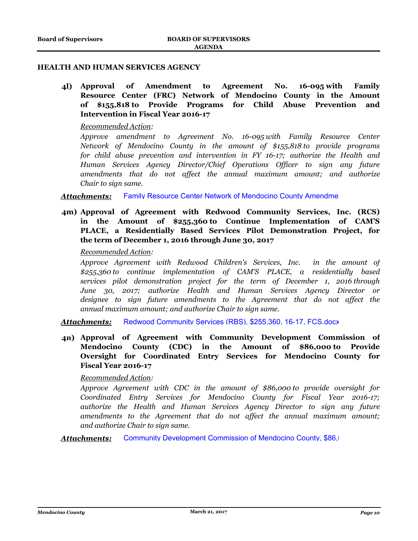# **HEALTH AND HUMAN SERVICES AGENCY**

**4l) Approval of Amendment to Agreement No. 16-095 with Family Resource Center (FRC) Network of Mendocino County in the Amount of \$155,818 to Provide Programs for Child Abuse Prevention and Intervention in Fiscal Year 2016-17**

#### *Recommended Action:*

*Approve amendment to Agreement No. 16-095 with Family Resource Center Network of Mendocino County in the amount of \$155,818 to provide programs for child abuse prevention and intervention in FY 16-17; authorize the Health and Human Services Agency Director/Chief Operations Officer to sign any future amendments that do not affect the annual maximum amount; and authorize Chair to sign same.*

**Attachments:** Family Resource Center Network of Mendocino County Amendme

**4m) Approval of Agreement with Redwood Community Services, Inc. (RCS) in the Amount of \$255,360 to Continue Implementation of CAM'S PLACE, a Residentially Based Services Pilot Demonstration Project, for the term of December 1, 2016 through June 30, 2017**

*Recommended Action:*

*Approve Agreement with Redwood Children's Services, Inc. in the amount of \$255,360 to continue implementation of CAM'S PLACE, a residentially based services pilot demonstration project for the term of December 1, 2016 through June 30, 2017; authorize Health and Human Services Agency Director or designee to sign future amendments to the Agreement that do not affect the annual maximum amount; and authorize Chair to sign same.*

*Attachments:* [Redwood Community Services \(RBS\), \\$255,360, 16-17, FCS.docx](http://mendocino.legistar.com/gateway.aspx?M=F&ID=246a1e30-5074-47b1-b545-91464503b37f.docx)

**4n) Approval of Agreement with Community Development Commission of Mendocino County (CDC) in the Amount of \$86,000 to Provide Oversight for Coordinated Entry Services for Mendocino County for Fiscal Year 2016-17**

*Recommended Action:*

*Approve Agreement with CDC in the amount of \$86,000 to provide oversight for Coordinated Entry Services for Mendocino County for Fiscal Year 2016-17; authorize the Health and Human Services Agency Director to sign any future amendments to the Agreement that do not affect the annual maximum amount; and authorize Chair to sign same.*

**Attachments:** Community Development Commission of Mendocino County, \$86,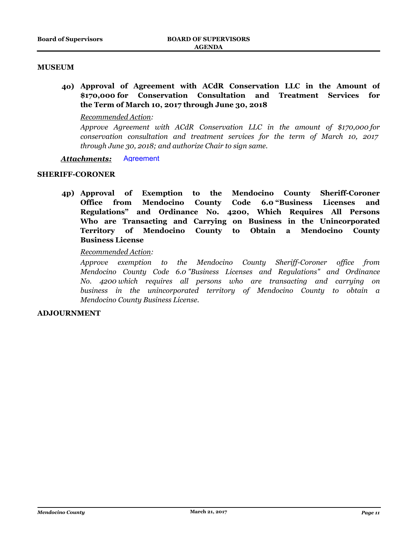# **MUSEUM**

**4o) Approval of Agreement with ACdR Conservation LLC in the Amount of \$170,000 for Conservation Consultation and Treatment Services for the Term of March 10, 2017 through June 30, 2018**

# *Recommended Action:*

*Approve Agreement with ACdR Conservation LLC in the amount of \$170,000 for conservation consultation and treatment services for the term of March 10, 2017 through June 30, 2018; and authorize Chair to sign same.*

# *Attachments:* [Agreement](http://mendocino.legistar.com/gateway.aspx?M=F&ID=7817e7c0-4014-4843-9a2d-f8dd6a3e40e4.pdf)

# **SHERIFF-CORONER**

**4p) Approval of Exemption to the Mendocino County Sheriff-Coroner Office from Mendocino County Code 6.0 "Business Licenses and Regulations" and Ordinance No. 4200, Which Requires All Persons Who are Transacting and Carrying on Business in the Unincorporated Territory of Mendocino County to Obtain a Mendocino County Business License**

# *Recommended Action:*

*Approve exemption to the Mendocino County Sheriff-Coroner office from Mendocino County Code 6.0 "Business Licenses and Regulations" and Ordinance No. 4200 which requires all persons who are transacting and carrying on business in the unincorporated territory of Mendocino County to obtain a Mendocino County Business License.*

# **ADJOURNMENT**